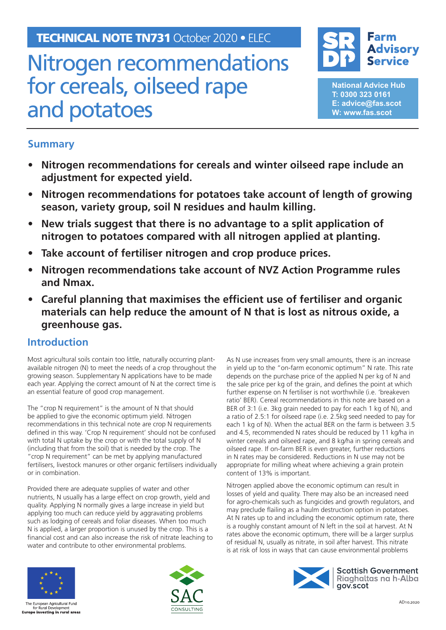TECHNICAL NOTE TN731 October 2020 • ELEC

# Nitrogen recommendations for cereals, oilseed rape and potatoes



**National Advice Hub T: 0300 323 0161 E: advice@fas.scot W: www.fas.scot**

## **Summary**

- **• Nitrogen recommendations for cereals and winter oilseed rape include an adjustment for expected yield.**
- **• Nitrogen recommendations for potatoes take account of length of growing season, variety group, soil N residues and haulm killing.**
- **• New trials suggest that there is no advantage to a split application of nitrogen to potatoes compared with all nitrogen applied at planting.**
- **• Take account of fertiliser nitrogen and crop produce prices.**
- **• Nitrogen recommendations take account of NVZ Action Programme rules and Nmax.**
- **• Careful planning that maximises the efficient use of fertiliser and organic materials can help reduce the amount of N that is lost as nitrous oxide, a greenhouse gas.**

### **Introduction**

Most agricultural soils contain too little, naturally occurring plantavailable nitrogen (N) to meet the needs of a crop throughout the growing season. Supplementary N applications have to be made each year. Applying the correct amount of N at the correct time is an essential feature of good crop management.

The "crop N requirement" is the amount of N that should be applied to give the economic optimum yield. Nitrogen recommendations in this technical note are crop N requirements defined in this way. 'Crop N requirement' should not be confused with total N uptake by the crop or with the total supply of N (including that from the soil) that is needed by the crop. The "crop N requirement" can be met by applying manufactured fertilisers, livestock manures or other organic fertilisers individually or in combination.

Provided there are adequate supplies of water and other nutrients, N usually has a large effect on crop growth, yield and quality. Applying N normally gives a large increase in yield but applying too much can reduce yield by aggravating problems such as lodging of cereals and foliar diseases. When too much N is applied, a larger proportion is unused by the crop. This is a financial cost and can also increase the risk of nitrate leaching to water and contribute to other environmental problems.

As N use increases from very small amounts, there is an increase in yield up to the "on-farm economic optimum" N rate. This rate depends on the purchase price of the applied N per kg of N and the sale price per kg of the grain, and defines the point at which further expense on N fertiliser is not worthwhile (i.e. 'breakeven ratio' BER). Cereal recommendations in this note are based on a BER of 3:1 (i.e. 3kg grain needed to pay for each 1 kg of N), and a ratio of 2.5:1 for oilseed rape (i.e. 2.5kg seed needed to pay for each 1 kg of N). When the actual BER on the farm is between 3.5 and 4.5, recommended N rates should be reduced by 11 kg/ha in winter cereals and oilseed rape, and 8 kg/ha in spring cereals and oilseed rape. If on-farm BER is even greater, further reductions in N rates may be considered. Reductions in N use may not be appropriate for milling wheat where achieving a grain protein content of 13% is important.

Nitrogen applied above the economic optimum can result in losses of yield and quality. There may also be an increased need for agro-chemicals such as fungicides and growth regulators, and may preclude flailing as a haulm destruction option in potatoes. At N rates up to and including the economic optimum rate, there is a roughly constant amount of N left in the soil at harvest. At N rates above the economic optimum, there will be a larger surplus of residual N, usually as nitrate, in soil after harvest. This nitrate is at risk of loss in ways that can cause environmental problems



The European Agricultural Fund<br>for Rural Development **Europe investing in rural areas** 



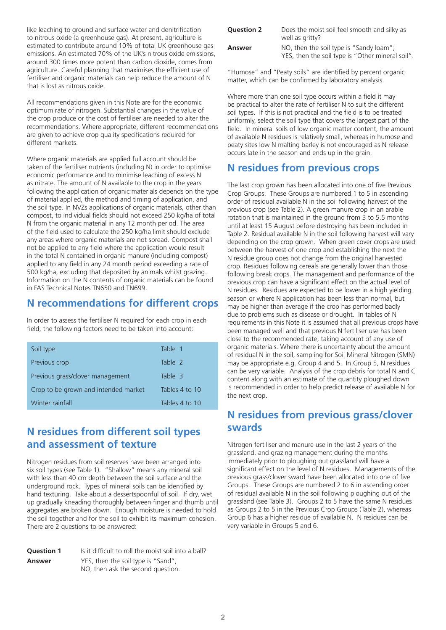like leaching to ground and surface water and denitrification to nitrous oxide (a greenhouse gas). At present, agriculture is estimated to contribute around 10% of total UK greenhouse gas emissions. An estimated 70% of the UK's nitrous oxide emissions, around 300 times more potent than carbon dioxide, comes from agriculture. Careful planning that maximises the efficient use of fertiliser and organic materials can help reduce the amount of N that is lost as nitrous oxide.

All recommendations given in this Note are for the economic optimum rate of nitrogen. Substantial changes in the value of the crop produce or the cost of fertiliser are needed to alter the recommendations. Where appropriate, different recommendations are given to achieve crop quality specifications required for different markets.

Where organic materials are applied full account should be taken of the fertiliser nutrients (including N) in order to optimise economic performance and to minimise leaching of excess N as nitrate. The amount of N available to the crop in the years following the application of organic materials depends on the type of material applied, the method and timing of application, and the soil type. In NVZs applications of organic materials, other than compost, to individual fields should not exceed 250 kg/ha of total N from the organic material in any 12 month period. The area of the field used to calculate the 250 kg/ha limit should exclude any areas where organic materials are not spread. Compost shall not be applied to any field where the application would result in the total N contained in organic manure (including compost) applied to any field in any 24 month period exceeding a rate of 500 kg/ha, excluding that deposited by animals whilst grazing. Information on the N contents of organic materials can be found in FAS Technical Notes [TN650](https://www.fas.scot/publication/technical-note-tn650-optimising-application-bulky-organic-fertilisers/) and [TN699.](https://www.fas.scot/publication/tn699-agricultural-use-of-biosolids-composts-anaerobic-digestates-and-other-industrial-organic-fertilisers/)

### **N recommendations for different crops**

In order to assess the fertiliser N required for each crop in each field, the following factors need to be taken into account:

| Soil type                            | Table 1        |
|--------------------------------------|----------------|
| Previous crop                        | Table 2        |
| Previous grass/clover management     | Table 3        |
| Crop to be grown and intended market | Tables 4 to 10 |
| Winter rainfall                      | Tables 4 to 10 |

### **N residues from different soil types and assessment of texture**

Nitrogen residues from soil reserves have been arranged into six soil types (see Table 1). "Shallow" means any mineral soil with less than 40 cm depth between the soil surface and the underground rock. Types of mineral soils can be identified by hand texturing. Take about a dessertspoonful of soil. If dry, wet up gradually kneading thoroughly between finger and thumb until aggregates are broken down. Enough moisture is needed to hold the soil together and for the soil to exhibit its maximum cohesion. There are 2 questions to be answered:

| <b>Ouestion 1</b> | Is it difficult to roll the moist soil into a ball?                     |
|-------------------|-------------------------------------------------------------------------|
| Answer            | YES, then the soil type is "Sand";<br>NO, then ask the second question. |

| <b>Question 2</b> | Does the moist soil feel smooth and silky as<br>well as gritty?                             |
|-------------------|---------------------------------------------------------------------------------------------|
| Answer            | NO, then the soil type is "Sandy loam";<br>YES, then the soil type is "Other mineral soil". |

"Humose" and "Peaty soils" are identified by percent organic matter, which can be confirmed by laboratory analysis.

Where more than one soil type occurs within a field it may be practical to alter the rate of fertiliser N to suit the different soil types. If this is not practical and the field is to be treated uniformly, select the soil type that covers the largest part of the field. In mineral soils of low organic matter content, the amount of available N residues is relatively small, whereas in humose and peaty sites low N malting barley is not encouraged as N release occurs late in the season and ends up in the grain.

### **N residues from previous crops**

The last crop grown has been allocated into one of five Previous Crop Groups. These Groups are numbered 1 to 5 in ascending order of residual available N in the soil following harvest of the previous crop (see Table 2). A green manure crop in an arable rotation that is maintained in the ground from 3 to 5.5 months until at least 15 August before destroying has been included in Table 2. Residual available N in the soil following harvest will vary depending on the crop grown. When green cover crops are used between the harvest of one crop and establishing the next the N residue group does not change from the original harvested crop. Residues following cereals are generally lower than those following break crops. The management and performance of the previous crop can have a significant effect on the actual level of N residues. Residues are expected to be lower in a high yielding season or where N application has been less than normal, but may be higher than average if the crop has performed badly due to problems such as disease or drought. In tables of N requirements in this Note it is assumed that all previous crops have been managed well and that previous N fertiliser use has been close to the recommended rate, taking account of any use of organic materials. Where there is uncertainty about the amount of residual N in the soil, sampling for Soil Mineral Nitrogen (SMN) may be appropriate e.g. Group 4 and 5. In Group 5, N residues can be very variable. Analysis of the crop debris for total N and C content along with an estimate of the quantity ploughed down is recommended in order to help predict release of available N for the next crop.

### **N residues from previous grass/clover swards**

Nitrogen fertiliser and manure use in the last 2 years of the grassland, and grazing management during the months immediately prior to ploughing out grassland will have a significant effect on the level of N residues. Managements of the previous grass/clover sward have been allocated into one of five Groups. These Groups are numbered 2 to 6 in ascending order of residual available N in the soil following ploughing out of the grassland (see Table 3). Groups 2 to 5 have the same N residues as Groups 2 to 5 in the Previous Crop Groups (Table 2), whereas Group 6 has a higher residue of available N. N residues can be very variable in Groups 5 and 6.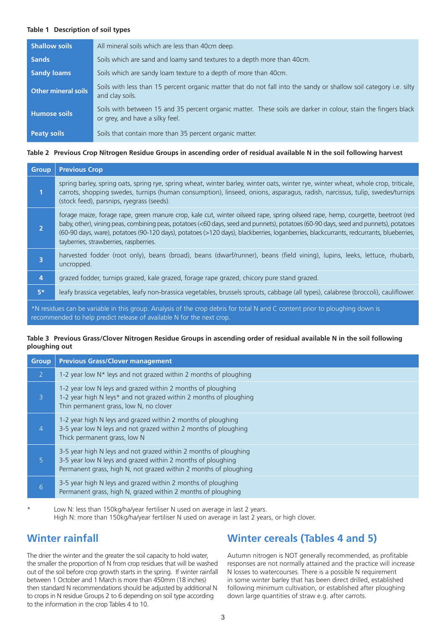#### **Table 1 Description of soil types**

| <b>Shallow soils</b>       | All mineral soils which are less than 40cm deep.                                                                                                  |
|----------------------------|---------------------------------------------------------------------------------------------------------------------------------------------------|
| <b>Sands</b>               | Soils which are sand and loamy sand textures to a depth more than 40cm.                                                                           |
| <b>Sandy loams</b>         | Soils which are sandy loam texture to a depth of more than 40cm.                                                                                  |
| <b>Other mineral soils</b> | Soils with less than 15 percent organic matter that do not fall into the sandy or shallow soil category i.e. silty<br>and clay soils.             |
| <b>Humose soils</b>        | Soils with between 15 and 35 percent organic matter. These soils are darker in colour, stain the fingers black<br>or grey, and have a silky feel. |
| <b>Peaty soils</b>         | Soils that contain more than 35 percent organic matter.                                                                                           |

#### **Table 2 Previous Crop Nitrogen Residue Groups in ascending order of residual available N in the soil following harvest**

| <b>Group</b>   | <b>Previous Crop</b>                                                                                                                                                                                                                                                                                                                                                                                                                                        |
|----------------|-------------------------------------------------------------------------------------------------------------------------------------------------------------------------------------------------------------------------------------------------------------------------------------------------------------------------------------------------------------------------------------------------------------------------------------------------------------|
| 1              | spring barley, spring oats, spring rye, spring wheat, winter barley, winter oats, winter rye, winter wheat, whole crop, triticale,<br>carrots, shopping swedes, turnips (human consumption), linseed, onions, asparagus, radish, narcissus, tulip, swedes/turnips<br>(stock feed), parsnips, ryegrass (seeds).                                                                                                                                              |
| $\overline{2}$ | forage maize, forage rape, green manure crop, kale cut, winter oilseed rape, spring oilseed rape, hemp, courgette, beetroot (red<br>baby, other), vining peas, combining peas, potatoes (<60 days, seed and punnets), potatoes (60-90 days, seed and punnets), potatoes<br>(60-90 days, ware), potatoes (90-120 days), potatoes (>120 days), blackberries, loganberries, blackcurrants, redcurrants, blueberries,<br>tayberries, strawberries, raspberries. |
| 3              | harvested fodder (root only), beans (broad), beans (dwarf/runner), beans (field vining), lupins, leeks, lettuce, rhubarb,<br>uncropped.                                                                                                                                                                                                                                                                                                                     |
| $\overline{4}$ | grazed fodder, turnips grazed, kale grazed, forage rape grazed, chicory pure stand grazed.                                                                                                                                                                                                                                                                                                                                                                  |
| $5*$           | leafy brassica vegetables, leafy non-brassica vegetables, brussels sprouts, cabbage (all types), calabrese (broccoli), cauliflower.                                                                                                                                                                                                                                                                                                                         |
|                | *N residues can be variable in this group Analysis of the crop debris for total N and C content prior to ploughing down is                                                                                                                                                                                                                                                                                                                                  |

\*N residues can be variable in this group. Analysis of the crop debris for total N and C content prior to ploughing down is recommended to help predict release of available N for the next crop.

#### **Table 3 Previous Grass/Clover Nitrogen Residue Groups in ascending order of residual available N in the soil following ploughing out**

| <b>Group</b>   | <b>Previous Grass/Clover management</b>                                                                                                                                                             |
|----------------|-----------------------------------------------------------------------------------------------------------------------------------------------------------------------------------------------------|
| $\overline{2}$ | 1-2 year low $N^*$ leys and not grazed within 2 months of ploughing                                                                                                                                 |
| $\overline{3}$ | 1-2 year low N leys and grazed within 2 months of ploughing<br>1-2 year high N leys* and not grazed within 2 months of ploughing<br>Thin permanent grass, low N, no clover                          |
| 4              | 1-2 year high N leys and grazed within 2 months of ploughing<br>3-5 year low N leys and not grazed within 2 months of ploughing<br>Thick permanent grass, low N                                     |
| $\overline{5}$ | 3-5 year high N leys and not grazed within 2 months of ploughing<br>3-5 year low N leys and grazed within 2 months of ploughing<br>Permanent grass, high N, not grazed within 2 months of ploughing |
| 6              | 3-5 year high N leys and grazed within 2 months of ploughing<br>Permanent grass, high N, grazed within 2 months of ploughing                                                                        |

Low N: less than 150kg/ha/year fertiliser N used on average in last 2 years. High N: more than 150kg/ha/year fertiliser N used on average in last 2 years, or high clover.

### **Winter rainfall**

The drier the winter and the greater the soil capacity to hold water, the smaller the proportion of N from crop residues that will be washed out of the soil before crop growth starts in the spring. If winter rainfall between 1 October and 1 March is more than 450mm (18 inches) then standard N recommendations should be adjusted by additional N to crops in N residue Groups 2 to 6 depending on soil type according to the information in the crop Tables 4 to 10.

### **Winter cereals (Tables 4 and 5)**

Autumn nitrogen is NOT generally recommended, as profitable responses are not normally attained and the practice will increase N losses to watercourses. There is a possible N requirement in some winter barley that has been direct drilled, established following minimum cultivation, or established after ploughing down large quantities of straw e.g. after carrots.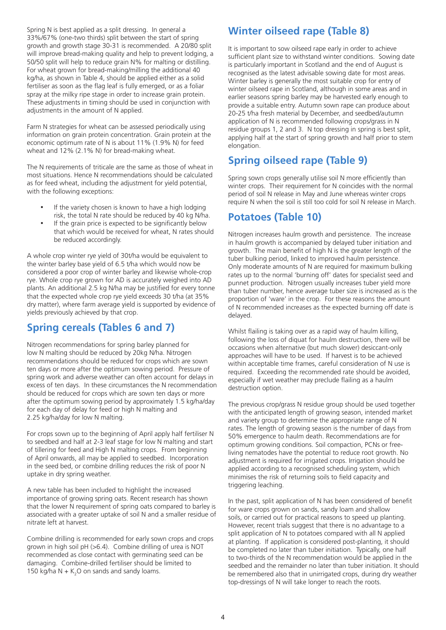Spring N is best applied as a split dressing. In general a 33%/67% (one-two thirds) split between the start of spring growth and growth stage 30-31 is recommended. A 20/80 split will improve bread-making quality and help to prevent lodging, a 50/50 split will help to reduce grain N% for malting or distilling. For wheat grown for bread-making/milling the additional 40 kg/ha, as shown in Table 4, should be applied either as a solid fertiliser as soon as the flag leaf is fully emerged, or as a foliar spray at the milky ripe stage in order to increase grain protein. These adjustments in timing should be used in conjunction with adjustments in the amount of N applied.

Farm N strategies for wheat can be assessed periodically using information on grain protein concentration. Grain protein at the economic optimum rate of N is about 11% (1.9% N) for feed wheat and 12% (2.1% N) for bread-making wheat.

The N requirements of triticale are the same as those of wheat in most situations. Hence N recommendations should be calculated as for feed wheat, including the adjustment for yield potential, with the following exceptions:

- If the variety chosen is known to have a high lodging risk, the total N rate should be reduced by 40 kg N/ha.
- If the grain price is expected to be significantly below that which would be received for wheat, N rates should be reduced accordingly.

A whole crop winter rye yield of 30t/ha would be equivalent to the winter barley base yield of 6.5 t/ha which would now be considered a poor crop of winter barley and likewise whole-crop rye. Whole crop rye grown for AD is accurately weighed into AD plants. An additional 2.5 kg N/ha may be justified for every tonne that the expected whole crop rye yield exceeds 30 t/ha (at 35% dry matter), where farm average yield is supported by evidence of yields previously achieved by that crop.

### **Spring cereals (Tables 6 and 7)**

Nitrogen recommendations for spring barley planned for low N malting should be reduced by 20kg N/ha. Nitrogen recommendations should be reduced for crops which are sown ten days or more after the optimum sowing period. Pressure of spring work and adverse weather can often account for delays in excess of ten days. In these circumstances the N recommendation should be reduced for crops which are sown ten days or more after the optimum sowing period by approximately 1.5 kg/ha/day for each day of delay for feed or high N malting and 2.25 kg/ha/day for low N malting.

For crops sown up to the beginning of April apply half fertiliser N to seedbed and half at 2-3 leaf stage for low N malting and start of tillering for feed and High N malting crops. From beginning of April onwards, all may be applied to seedbed. Incorporation in the seed bed, or combine drilling reduces the risk of poor N uptake in dry spring weather.

A new table has been included to highlight the increased importance of growing spring oats. Recent research has shown that the lower N requirement of spring oats compared to barley is associated with a greater uptake of soil N and a smaller residue of nitrate left at harvest.

Combine drilling is recommended for early sown crops and crops grown in high soil pH (>6.4). Combine drilling of urea is NOT recommended as close contact with germinating seed can be damaging. Combine-drilled fertiliser should be limited to 150 kg/ha  $N + K$ <sup>2</sup>,0 on sands and sandy loams.

### **Winter oilseed rape (Table 8)**

It is important to sow oilseed rape early in order to achieve sufficient plant size to withstand winter conditions. Sowing date is particularly important in Scotland and the end of August is recognised as the latest advisable sowing date for most areas. Winter barley is generally the most suitable crop for entry of winter oilseed rape in Scotland, although in some areas and in earlier seasons spring barley may be harvested early enough to provide a suitable entry. Autumn sown rape can produce about 20-25 t/ha fresh material by December, and seedbed/autumn application of N is recommended following crops/grass in N residue groups 1, 2 and 3. N top dressing in spring is best split, applying half at the start of spring growth and half prior to stem elongation.

## **Spring oilseed rape (Table 9)**

Spring sown crops generally utilise soil N more efficiently than winter crops. Their requirement for N coincides with the normal period of soil N release in May and June whereas winter crops require N when the soil is still too cold for soil N release in March.

### **Potatoes (Table 10)**

Nitrogen increases haulm growth and persistence. The increase in haulm growth is accompanied by delayed tuber initiation and growth. The main benefit of high N is the greater length of the tuber bulking period, linked to improved haulm persistence. Only moderate amounts of N are required for maximum bulking rates up to the normal 'burning off' dates for specialist seed and punnet production. Nitrogen usually increases tuber yield more than tuber number, hence average tuber size is increased as is the proportion of 'ware' in the crop. For these reasons the amount of N recommended increases as the expected burning off date is delayed.

Whilst flailing is taking over as a rapid way of haulm killing, following the loss of diquat for haulm destruction, there will be occasions when alternative (but much slower) desiccant-only approaches will have to be used. If harvest is to be achieved within acceptable time frames, careful consideration of N use is required. Exceeding the recommended rate should be avoided, especially if wet weather may preclude flailing as a haulm destruction option.

The previous crop/grass N residue group should be used together with the anticipated length of growing season, intended market and variety group to determine the appropriate range of N rates. The length of growing season is the number of days from 50% emergence to haulm death. Recommendations are for optimum growing conditions. Soil compaction, PCNs or freeliving nematodes have the potential to reduce root growth. No adjustment is required for irrigated crops. Irrigation should be applied according to a recognised scheduling system, which minimises the risk of returning soils to field capacity and triggering leaching.

In the past, split application of N has been considered of benefit for ware crops grown on sands, sandy loam and shallow soils, or carried out for practical reasons to speed up planting. However, recent trials suggest that there is no advantage to a split application of N to potatoes compared with all N applied at planting. If application is considered post-planting, it should be completed no later than tuber initiation. Typically, one half to two-thirds of the N recommendation would be applied in the seedbed and the remainder no later than tuber initiation. It should be remembered also that in unirrigated crops, during dry weather top-dressings of N will take longer to reach the roots.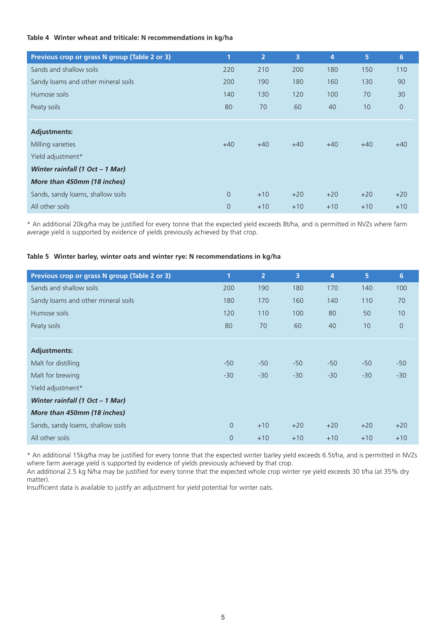#### **Table 4 Winter wheat and triticale: N recommendations in kg/ha**

| Previous crop or grass N group (Table 2 or 3) | 1              | $\overline{2}$ | $\overline{3}$ | $\overline{4}$ | 5     | 6              |
|-----------------------------------------------|----------------|----------------|----------------|----------------|-------|----------------|
| Sands and shallow soils                       | 220            | 210            | 200            | 180            | 150   | 110            |
| Sandy loams and other mineral soils           | 200            | 190            | 180            | 160            | 130   | 90             |
| Humose soils                                  | 140            | 130            | 120            | 100            | 70    | 30             |
| Peaty soils                                   | 80             | 70             | 60             | 40             | 10    | $\overline{0}$ |
|                                               |                |                |                |                |       |                |
| <b>Adjustments:</b>                           |                |                |                |                |       |                |
| Milling varieties                             | $+40$          | $+40$          | $+40$          | $+40$          | $+40$ | $+40$          |
| Yield adjustment*                             |                |                |                |                |       |                |
| Winter rainfall (1 Oct - 1 Mar)               |                |                |                |                |       |                |
| More than 450mm (18 inches)                   |                |                |                |                |       |                |
| Sands, sandy loams, shallow soils             | $\theta$       | $+10$          | $+20$          | $+20$          | $+20$ | $+20$          |
| All other soils                               | $\overline{0}$ | $+10$          | $+10$          | $+10$          | $+10$ | $+10$          |

\* An additional 20kg/ha may be justified for every tonne that the expected yield exceeds 8t/ha, and is permitted in NVZs where farm average yield is supported by evidence of yields previously achieved by that crop.

#### **Table 5 Winter barley, winter oats and winter rye: N recommendations in kg/ha**

| Previous crop or grass N group (Table 2 or 3) | 1              | $\overline{2}$ | 3     | 4     | 5     | 6              |
|-----------------------------------------------|----------------|----------------|-------|-------|-------|----------------|
| Sands and shallow soils                       | 200            | 190            | 180   | 170   | 140   | 100            |
| Sandy loams and other mineral soils           | 180            | 170            | 160   | 140   | 110   | 70             |
| Humose soils                                  | 120            | 110            | 100   | 80    | 50    | 10             |
| Peaty soils                                   | 80             | 70             | 60    | 40    | 10    | $\overline{0}$ |
|                                               |                |                |       |       |       |                |
| <b>Adjustments:</b>                           |                |                |       |       |       |                |
| Malt for distilling                           | $-50$          | $-50$          | $-50$ | $-50$ | $-50$ | $-50$          |
| Malt for brewing                              | $-30$          | $-30$          | $-30$ | $-30$ | $-30$ | $-30$          |
| Yield adjustment*                             |                |                |       |       |       |                |
| Winter rainfall (1 Oct - 1 Mar)               |                |                |       |       |       |                |
| More than 450mm (18 inches)                   |                |                |       |       |       |                |
| Sands, sandy loams, shallow soils             | $\overline{0}$ | $+10$          | $+20$ | $+20$ | $+20$ | $+20$          |
| All other soils                               | $\overline{0}$ | $+10$          | $+10$ | $+10$ | $+10$ | $+10$          |
|                                               |                |                |       |       |       |                |

\* An additional 15kg/ha may be justified for every tonne that the expected winter barley yield exceeds 6.5t/ha, and is permitted in NVZs where farm average yield is supported by evidence of yields previously achieved by that crop.

An additional 2.5 kg N/ha may be justified for every tonne that the expected whole crop winter rye yield exceeds 30 t/ha (at 35% dry matter).

Insufficient data is available to justify an adjustment for yield potential for winter oats.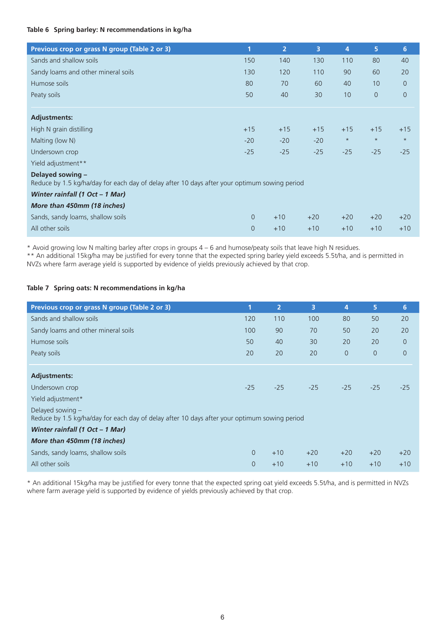#### **Table 6 Spring barley: N recommendations in kg/ha**

| Previous crop or grass N group (Table 2 or 3)                                                                    | 1              | $\overline{2}$ | $\overline{3}$ | 4       | 5              | 6              |
|------------------------------------------------------------------------------------------------------------------|----------------|----------------|----------------|---------|----------------|----------------|
| Sands and shallow soils                                                                                          | 150            | 140            | 130            | 110     | 80             | 40             |
| Sandy loams and other mineral soils                                                                              | 130            | 120            | 110            | 90      | 60             | 20             |
| Humose soils                                                                                                     | 80             | 70             | 60             | 40      | 10             | $\overline{O}$ |
| Peaty soils                                                                                                      | 50             | 40             | 30             | 10      | $\overline{0}$ | $\overline{0}$ |
|                                                                                                                  |                |                |                |         |                |                |
| <b>Adjustments:</b>                                                                                              |                |                |                |         |                |                |
| High N grain distilling                                                                                          | $+15$          | $+15$          | $+15$          | $+15$   | $+15$          | $+15$          |
| Malting (low N)                                                                                                  | $-20$          | $-20$          | $-20$          | $\star$ | $\star$        | $\star$        |
| Undersown crop                                                                                                   | $-25$          | $-25$          | $-25$          | $-25$   | $-25$          | $-25$          |
| Yield adjustment**                                                                                               |                |                |                |         |                |                |
| Delayed sowing -<br>Reduce by 1.5 kg/ha/day for each day of delay after 10 days after your optimum sowing period |                |                |                |         |                |                |
| Winter rainfall (1 Oct - 1 Mar)                                                                                  |                |                |                |         |                |                |
| More than 450mm (18 inches)                                                                                      |                |                |                |         |                |                |
| Sands, sandy loams, shallow soils                                                                                | $\overline{0}$ | $+10$          | $+20$          | $+20$   | $+20$          | $+20$          |
| All other soils                                                                                                  | $\overline{0}$ | $+10$          | $+10$          | $+10$   | $+10$          | $+10$          |

\* Avoid growing low N malting barley after crops in groups 4 – 6 and humose/peaty soils that leave high N residues.

\*\* An additional 15kg/ha may be justified for every tonne that the expected spring barley yield exceeds 5.5t/ha, and is permitted in NVZs where farm average yield is supported by evidence of yields previously achieved by that crop.

#### **Table 7 Spring oats: N recommendations in kg/ha**

| Previous crop or grass N group (Table 2 or 3)                                                                      | 1        | $\overline{2}$ | $\overline{\mathbf{3}}$ | 4              | 5              | 6              |
|--------------------------------------------------------------------------------------------------------------------|----------|----------------|-------------------------|----------------|----------------|----------------|
| Sands and shallow soils                                                                                            | 120      | 110            | 100                     | 80             | 50             | 20             |
| Sandy loams and other mineral soils                                                                                | 100      | 90             | 70                      | 50             | 20             | 20             |
| Humose soils                                                                                                       | 50       | 40             | 30                      | 20             | 20             | $\overline{0}$ |
| Peaty soils                                                                                                        | 20       | 20             | 20                      | $\overline{0}$ | $\overline{0}$ | $\overline{0}$ |
|                                                                                                                    |          |                |                         |                |                |                |
| <b>Adjustments:</b>                                                                                                |          |                |                         |                |                |                |
| Undersown crop                                                                                                     | $-25$    | $-25$          | $-25$                   | $-25$          | $-25$          | $-25$          |
| Yield adjustment*                                                                                                  |          |                |                         |                |                |                |
| Delayed sowing $-$<br>Reduce by 1.5 kg/ha/day for each day of delay after 10 days after your optimum sowing period |          |                |                         |                |                |                |
| Winter rainfall (1 Oct - 1 Mar)                                                                                    |          |                |                         |                |                |                |
| More than 450mm (18 inches)                                                                                        |          |                |                         |                |                |                |
| Sands, sandy loams, shallow soils                                                                                  | $\Omega$ | $+10$          | $+20$                   | $+20$          | $+20$          | $+20$          |
| All other soils                                                                                                    | $\Omega$ | $+10$          | $+10$                   | $+10$          | $+10$          | $+10$          |

\* An additional 15kg/ha may be justified for every tonne that the expected spring oat yield exceeds 5.5t/ha, and is permitted in NVZs where farm average yield is supported by evidence of yields previously achieved by that crop.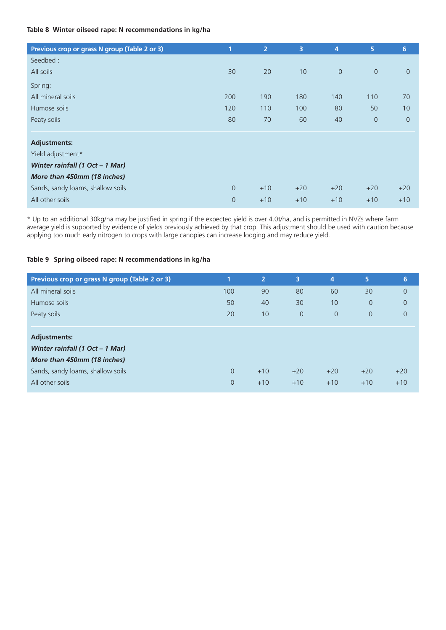#### **Table 8 Winter oilseed rape: N recommendations in kg/ha**

| Previous crop or grass N group (Table 2 or 3) | 1              | $\overline{2}$ | 3     | 4              | 5              | $6\phantom{a}$ |
|-----------------------------------------------|----------------|----------------|-------|----------------|----------------|----------------|
| Seedbed:                                      |                |                |       |                |                |                |
| All soils                                     | 30             | 20             | 10    | $\overline{0}$ | $\overline{0}$ | $\overline{0}$ |
| Spring:                                       |                |                |       |                |                |                |
| All mineral soils                             | 200            | 190            | 180   | 140            | 110            | 70             |
| Humose soils                                  | 120            | 110            | 100   | 80             | 50             | 10             |
| Peaty soils                                   | 80             | 70             | 60    | 40             | $\mathbf 0$    | $\overline{0}$ |
|                                               |                |                |       |                |                |                |
| <b>Adjustments:</b>                           |                |                |       |                |                |                |
| Yield adjustment*                             |                |                |       |                |                |                |
| Winter rainfall (1 Oct - 1 Mar)               |                |                |       |                |                |                |
| More than 450mm (18 inches)                   |                |                |       |                |                |                |
| Sands, sandy loams, shallow soils             | $\overline{0}$ | $+10$          | $+20$ | $+20$          | $+20$          | $+20$          |
| All other soils                               | $\overline{0}$ | $+10$          | $+10$ | $+10$          | $+10$          | $+10$          |

\* Up to an additional 30kg/ha may be justified in spring if the expected yield is over 4.0t/ha, and is permitted in NVZs where farm average yield is supported by evidence of yields previously achieved by that crop. This adjustment should be used with caution because applying too much early nitrogen to crops with large canopies can increase lodging and may reduce yield.

#### **Table 9 Spring oilseed rape: N recommendations in kg/ha**

| Previous crop or grass N group (Table 2 or 3) | 1              | $\mathbf{2}^{\mathsf{T}}$ | 3              | 4              | 5              | $6\phantom{1}$ |
|-----------------------------------------------|----------------|---------------------------|----------------|----------------|----------------|----------------|
| All mineral soils                             | 100            | 90                        | 80             | 60             | 30             | $\overline{0}$ |
| Humose soils                                  | 50             | 40                        | 30             | 10             | $\overline{0}$ | $\overline{0}$ |
| Peaty soils                                   | 20             | 10                        | $\overline{0}$ | $\overline{0}$ | $\overline{0}$ | $\overline{0}$ |
|                                               |                |                           |                |                |                |                |
| <b>Adjustments:</b>                           |                |                           |                |                |                |                |
| Winter rainfall (1 Oct - 1 Mar)               |                |                           |                |                |                |                |
| More than 450mm (18 inches)                   |                |                           |                |                |                |                |
| Sands, sandy loams, shallow soils             | $\Omega$       | $+10$                     | $+20$          | $+20$          | $+20$          | $+20$          |
| All other soils                               | $\overline{0}$ | $+10$                     | $+10$          | $+10$          | $+10$          | $+10$          |
|                                               |                |                           |                |                |                |                |